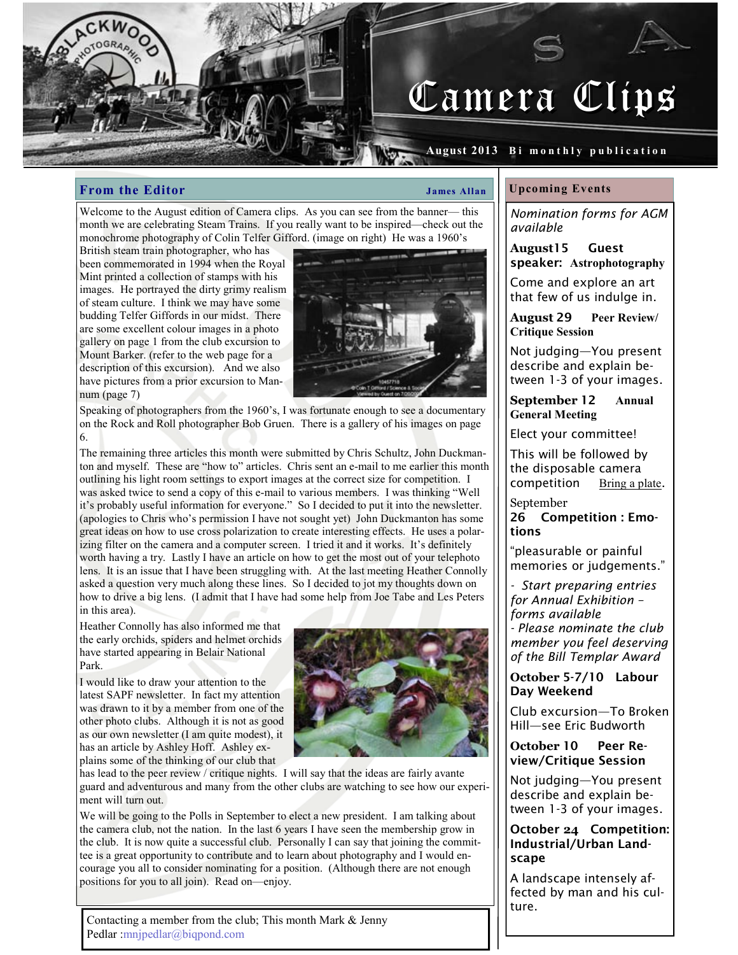

#### August 2013 Bi monthly publication

### From the Editor James Allan

Welcome to the August edition of Camera clips. As you can see from the banner— this month we are celebrating Steam Trains. If you really want to be inspired—check out the monochrome photography of Colin Telfer Gifford. (image on right) He was a 1960's

British steam train photographer, who has been commemorated in 1994 when the Royal Mint printed a collection of stamps with his images. He portrayed the dirty grimy realism of steam culture. I think we may have some budding Telfer Giffords in our midst. There are some excellent colour images in a photo gallery on page 1 from the club excursion to Mount Barker. (refer to the web page for a description of this excursion). And we also have pictures from a prior excursion to Mannum (page 7)



Speaking of photographers from the 1960's, I was fortunate enough to see a documentary on the Rock and Roll photographer Bob Gruen. There is a gallery of his images on page 6.

The remaining three articles this month were submitted by Chris Schultz, John Duckmanton and myself. These are "how to" articles. Chris sent an e-mail to me earlier this month outlining his light room settings to export images at the correct size for competition. I was asked twice to send a copy of this e-mail to various members. I was thinking "Well it's probably useful information for everyone." So I decided to put it into the newsletter. (apologies to Chris who's permission I have not sought yet) John Duckmanton has some great ideas on how to use cross polarization to create interesting effects. He uses a polarizing filter on the camera and a computer screen. I tried it and it works. It's definitely worth having a try. Lastly I have an article on how to get the most out of your telephoto lens. It is an issue that I have been struggling with. At the last meeting Heather Connolly asked a question very much along these lines. So I decided to jot my thoughts down on how to drive a big lens. (I admit that I have had some help from Joe Tabe and Les Peters in this area).

Heather Connolly has also informed me that the early orchids, spiders and helmet orchids have started appearing in Belair National Park.

I would like to draw your attention to the latest SAPF newsletter. In fact my attention was drawn to it by a member from one of the other photo clubs. Although it is not as good as our own newsletter (I am quite modest), it has an article by Ashley Hoff. Ashley explains some of the thinking of our club that



has lead to the peer review / critique nights. I will say that the ideas are fairly avante guard and adventurous and many from the other clubs are watching to see how our experiment will turn out.

We will be going to the Polls in September to elect a new president. I am talking about the camera club, not the nation. In the last 6 years I have seen the membership grow in the club. It is now quite a successful club. Personally I can say that joining the committee is a great opportunity to contribute and to learn about photography and I would encourage you all to consider nominating for a position. (Although there are not enough positions for you to all join). Read on—enjoy.

Contacting a member from the club; This month Mark & Jenny Pedlar :mnjpedlar@biqpond.com

#### Upcoming Events

Nomination forms for AGM available

August15 Guest speaker: Astrophotography

Come and explore an art that few of us indulge in.

August 29 Peer Review/ Critique Session

Not judging—You present describe and explain between 1-3 of your images.

September 12 Annual General Meeting

Elect your committee!

This will be followed by the disposable camera competition Bring a plate.

September 26 Competition : Emotions

"pleasurable or painful memories or judgements."

Start preparing entries for Annual Exhibition – forms available - Please nominate the club member you feel deserving

of the Bill Templar Award

October 5-7/10 Labour Day Weekend

Club excursion—To Broken Hill—see Eric Budworth

October 10 Peer Review/Critique Session

Not judging—You present describe and explain between 1-3 of your images.

### October 24 Competition: Industrial/Urban Landscape

A landscape intensely affected by man and his culture.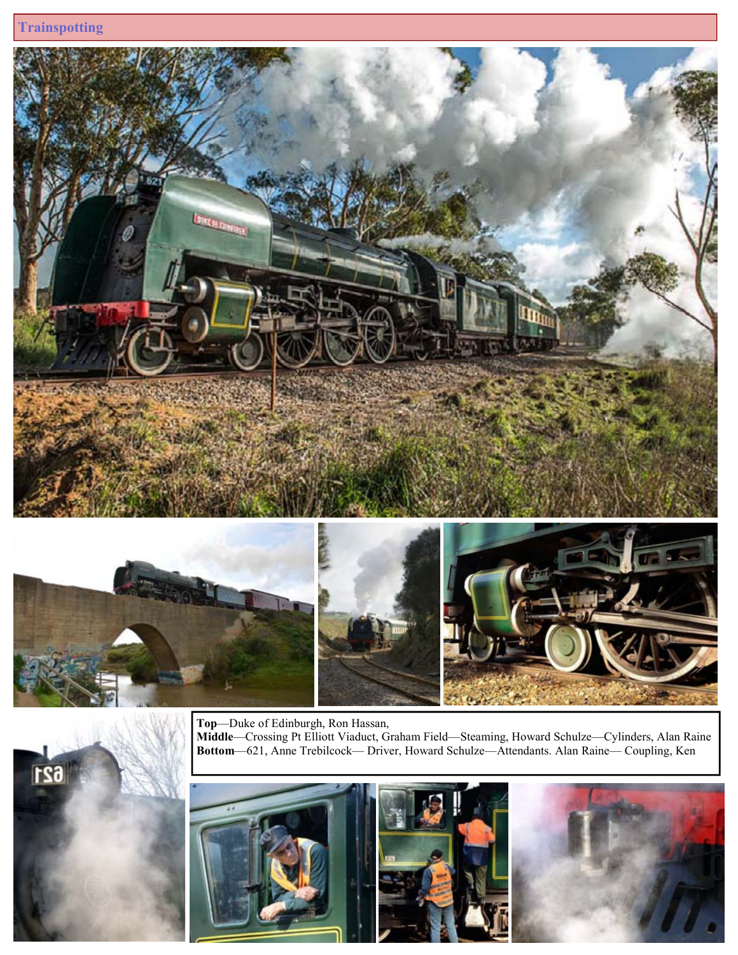$621$ 





Top—Duke of Edinburgh, Ron Hassan,

Middle—Crossing Pt Elliott Viaduct, Graham Field—Steaming, Howard Schulze—Cylinders, Alan Raine Bottom—621, Anne Trebilcock— Driver, Howard Schulze—Attendants. Alan Raine— Coupling, Ken

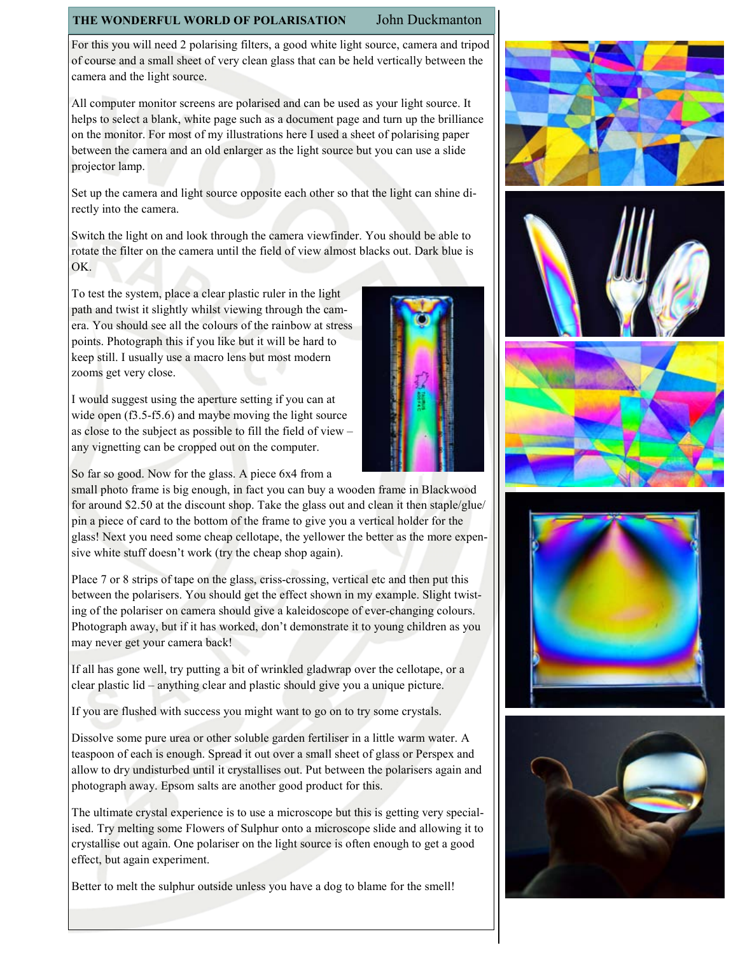# THE WONDERFUL WORLD OF POLARISATION John Duckmanton

For this you will need 2 polarising filters, a good white light source, camera and tripod of course and a small sheet of very clean glass that can be held vertically between the camera and the light source.

All computer monitor screens are polarised and can be used as your light source. It helps to select a blank, white page such as a document page and turn up the brilliance on the monitor. For most of my illustrations here I used a sheet of polarising paper between the camera and an old enlarger as the light source but you can use a slide projector lamp.

Set up the camera and light source opposite each other so that the light can shine directly into the camera.

Switch the light on and look through the camera viewfinder. You should be able to rotate the filter on the camera until the field of view almost blacks out. Dark blue is OK.

To test the system, place a clear plastic ruler in the light path and twist it slightly whilst viewing through the camera. You should see all the colours of the rainbow at stress points. Photograph this if you like but it will be hard to keep still. I usually use a macro lens but most modern zooms get very close.

I would suggest using the aperture setting if you can at wide open (f3.5-f5.6) and maybe moving the light source as close to the subject as possible to fill the field of view – any vignetting can be cropped out on the computer.

So far so good. Now for the glass. A piece 6x4 from a

small photo frame is big enough, in fact you can buy a wooden frame in Blackwood for around \$2.50 at the discount shop. Take the glass out and clean it then staple/glue/ pin a piece of card to the bottom of the frame to give you a vertical holder for the glass! Next you need some cheap cellotape, the yellower the better as the more expensive white stuff doesn't work (try the cheap shop again).

Place 7 or 8 strips of tape on the glass, criss-crossing, vertical etc and then put this between the polarisers. You should get the effect shown in my example. Slight twisting of the polariser on camera should give a kaleidoscope of ever-changing colours. Photograph away, but if it has worked, don't demonstrate it to young children as you may never get your camera back!

If all has gone well, try putting a bit of wrinkled gladwrap over the cellotape, or a clear plastic lid – anything clear and plastic should give you a unique picture.

If you are flushed with success you might want to go on to try some crystals.

Dissolve some pure urea or other soluble garden fertiliser in a little warm water. A teaspoon of each is enough. Spread it out over a small sheet of glass or Perspex and allow to dry undisturbed until it crystallises out. Put between the polarisers again and photograph away. Epsom salts are another good product for this.

The ultimate crystal experience is to use a microscope but this is getting very specialised. Try melting some Flowers of Sulphur onto a microscope slide and allowing it to crystallise out again. One polariser on the light source is often enough to get a good effect, but again experiment.

Better to melt the sulphur outside unless you have a dog to blame for the smell!











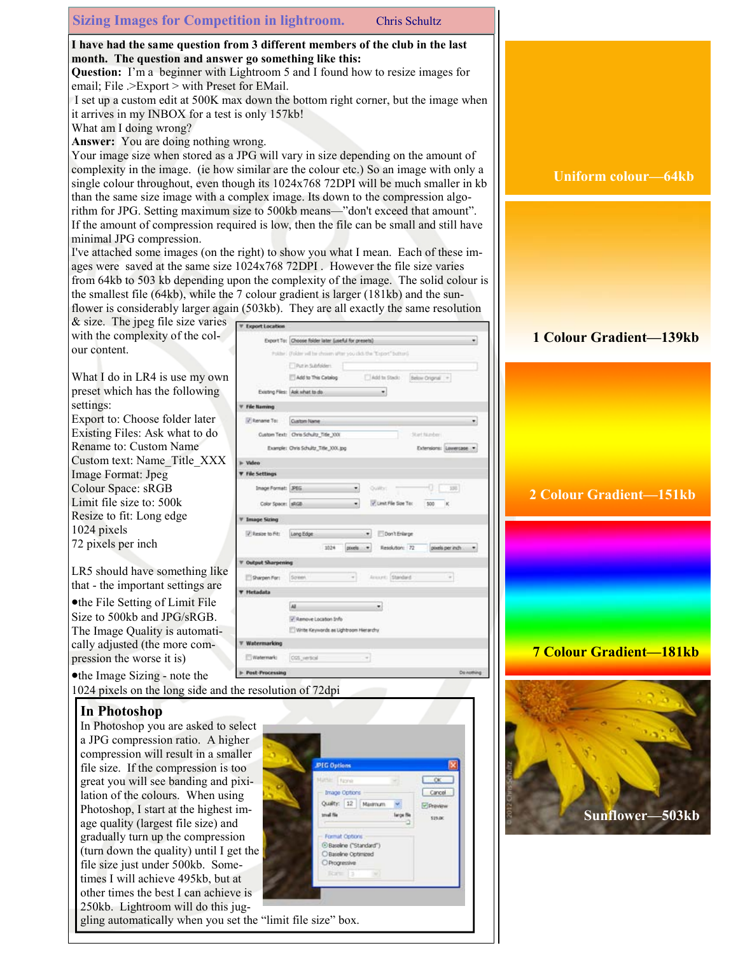### Sizing Images for Competition in lightroom. Chris Schultz

I have had the same question from 3 different members of the club in the last month. The question and answer go something like this:

Question: I'm a beginner with Lightroom 5 and I found how to resize images for email; File .>Export > with Preset for EMail.

 I set up a custom edit at 500K max down the bottom right corner, but the image when it arrives in my INBOX for a test is only 157kb!

What am I doing wrong?

Answer: You are doing nothing wrong.

Your image size when stored as a JPG will vary in size depending on the amount of complexity in the image. (ie how similar are the colour etc.) So an image with only a single colour throughout, even though its 1024x768 72DPI will be much smaller in kb than the same size image with a complex image. Its down to the compression algorithm for JPG. Setting maximum size to 500kb means—"don't exceed that amount". If the amount of compression required is low, then the file can be small and still have minimal JPG compression.

I've attached some images (on the right) to show you what I mean. Each of these images were saved at the same size 1024x768 72DPI . However the file size varies from 64kb to 503 kb depending upon the complexity of the image. The solid colour is the smallest file (64kb), while the 7 colour gradient is larger (181kb) and the sunflower is considerably larger again (503kb). They are all exactly the same resolution

| $\&$ size. The jpeg file size varies                      | <b>V</b> Export Location                                            |
|-----------------------------------------------------------|---------------------------------------------------------------------|
| with the complexity of the col-                           | Export To: Choose folder later (useful for presets)<br>٠            |
| our content.                                              | Polite: (Folder will be chosen after you click the "Esport" button) |
|                                                           | Put in Subfolders                                                   |
| What I do in LR4 is use my own                            | Add to Stack:<br>Below Original -<br>Add to This Catalog            |
| preset which has the following                            | Existing Files: Ask what to do                                      |
| settings:                                                 | <b>File Naming</b>                                                  |
| Export to: Choose folder later                            | P Rename To:<br>Custom Name<br>۰                                    |
| Existing Files: Ask what to do                            | Custom Text: Chris Schultz, Title 3001<br>Stiet Nijedstri           |
| Rename to: Custom Name                                    | Extensions: Lowercase<br>Example: Chris Schultz_Title_XXX.jpg       |
| Custom text: Name Title XXX                               | i- Video                                                            |
| Image Format: Jpeg                                        | <b>V</b> File Settings                                              |
| Colour Space: sRGB                                        | Inage Format: JPEG<br>100                                           |
| Limit file size to: 500k                                  | V Limit File Size To:<br>Color Space: sRGB<br>500                   |
| Resize to fit: Long edge                                  | <b>Image String</b>                                                 |
| 1024 pixels                                               | P Resize to Fit:<br>Long Edge<br>Don't Enlarge                      |
| 72 pixels per inch                                        | 1024<br>Resolution: 72<br>pixels per inch.<br>pixels:               |
|                                                           |                                                                     |
| LR5 should have something like                            | <b>Output Sharpening</b>                                            |
| that - the important settings are                         | Ansuric Standard<br>Soleen<br>$\sim$<br>Sharpen For:                |
|                                                           | <b>V</b> Hetadata                                                   |
| • the File Setting of Limit File                          | $\overline{M}$<br>۰                                                 |
| Size to 500 $kb$ and JPG/sRGB.                            | J Renove Location Info                                              |
| The Image Quality is automati-                            | Write Keywords as Lightroom Hierarchy                               |
| cally adjusted (the more com-                             | Watermarking                                                        |
| pression the worse it is)                                 | Watermark:<br>CGS verboil                                           |
| • the Image Sizing - note the                             | <b>Post-Processing</b><br><b>Do nothing</b>                         |
| 1024 pixels on the long side and the resolution of 72 dpi |                                                                     |

### In Photoshop

In Photoshop you are asked to select a JPG compression ratio. A higher compression will result in a smaller file size. If the compression is too great you will see banding and pixilation of the colours. When using Photoshop, I start at the highest image quality (largest file size) and gradually turn up the compression (turn down the quality) until I get the file size just under 500kb. Sometimes I will achieve 495kb, but at other times the best I can achieve is 250kb. Lightroom will do this jug-

| <b>JPIG Options</b>                 |                |
|-------------------------------------|----------------|
| Matte: None                         | $-\alpha$      |
| <b>Image Options</b>                | Cancel         |
| Quality: 12 Maximum                 | <b>Preview</b> |
| trival file<br>large file           | \$25.00        |
|                                     |                |
| Format Options                      |                |
| C Baseline ("Standard")             |                |
| O Baseline Optimized<br>Progressive |                |
| Roma 3                              |                |

# gling automatically when you set the "limit file size" box.

### Uniform colour—64kb

## 1 Colour Gradient—139kb

# 2 Colour Gradient—151kb



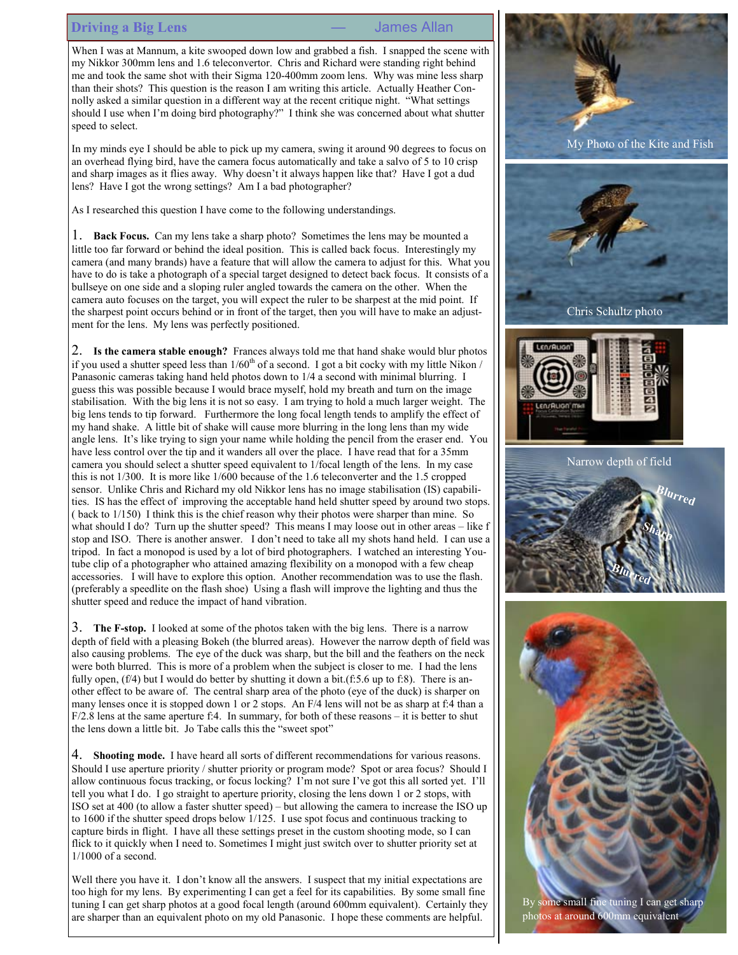#### Driving a Big Lens — Sames Allan

When I was at Mannum, a kite swooped down low and grabbed a fish. I snapped the scene with my Nikkor 300mm lens and 1.6 teleconvertor. Chris and Richard were standing right behind me and took the same shot with their Sigma 120-400mm zoom lens. Why was mine less sharp than their shots? This question is the reason I am writing this article. Actually Heather Connolly asked a similar question in a different way at the recent critique night. "What settings should I use when I'm doing bird photography?" I think she was concerned about what shutter speed to select.

In my minds eye I should be able to pick up my camera, swing it around 90 degrees to focus on an overhead flying bird, have the camera focus automatically and take a salvo of 5 to 10 crisp and sharp images as it flies away. Why doesn't it always happen like that? Have I got a dud lens? Have I got the wrong settings? Am I a bad photographer?

As I researched this question I have come to the following understandings.

1. Back Focus. Can my lens take a sharp photo? Sometimes the lens may be mounted a little too far forward or behind the ideal position. This is called back focus. Interestingly my camera (and many brands) have a feature that will allow the camera to adjust for this. What you have to do is take a photograph of a special target designed to detect back focus. It consists of a bullseye on one side and a sloping ruler angled towards the camera on the other. When the camera auto focuses on the target, you will expect the ruler to be sharpest at the mid point. If the sharpest point occurs behind or in front of the target, then you will have to make an adjustment for the lens. My lens was perfectly positioned.

2. Is the camera stable enough? Frances always told me that hand shake would blur photos if you used a shutter speed less than  $1/60<sup>th</sup>$  of a second. I got a bit cocky with my little Nikon / Panasonic cameras taking hand held photos down to 1/4 a second with minimal blurring. I guess this was possible because I would brace myself, hold my breath and turn on the image stabilisation. With the big lens it is not so easy. I am trying to hold a much larger weight. The big lens tends to tip forward. Furthermore the long focal length tends to amplify the effect of my hand shake. A little bit of shake will cause more blurring in the long lens than my wide angle lens. It's like trying to sign your name while holding the pencil from the eraser end. You have less control over the tip and it wanders all over the place. I have read that for a 35mm camera you should select a shutter speed equivalent to 1/focal length of the lens. In my case this is not 1/300. It is more like 1/600 because of the 1.6 teleconverter and the 1.5 cropped sensor. Unlike Chris and Richard my old Nikkor lens has no image stabilisation (IS) capabilities. IS has the effect of improving the acceptable hand held shutter speed by around two stops. ( back to 1/150) I think this is the chief reason why their photos were sharper than mine. So what should I do? Turn up the shutter speed? This means I may loose out in other areas – like f stop and ISO. There is another answer. I don't need to take all my shots hand held. I can use a tripod. In fact a monopod is used by a lot of bird photographers. I watched an interesting Youtube clip of a photographer who attained amazing flexibility on a monopod with a few cheap accessories. I will have to explore this option. Another recommendation was to use the flash. (preferably a speedlite on the flash shoe) Using a flash will improve the lighting and thus the shutter speed and reduce the impact of hand vibration.

3. The F-stop. I looked at some of the photos taken with the big lens. There is a narrow depth of field with a pleasing Bokeh (the blurred areas). However the narrow depth of field was also causing problems. The eye of the duck was sharp, but the bill and the feathers on the neck were both blurred. This is more of a problem when the subject is closer to me. I had the lens fully open,  $(f/4)$  but I would do better by shutting it down a bit. $(f:5.6 \text{ up to } f:8)$ . There is another effect to be aware of. The central sharp area of the photo (eye of the duck) is sharper on many lenses once it is stopped down 1 or 2 stops. An F/4 lens will not be as sharp at f:4 than a  $F/2.8$  lens at the same aperture f:4. In summary, for both of these reasons – it is better to shut the lens down a little bit. Jo Tabe calls this the "sweet spot"

4. Shooting mode. I have heard all sorts of different recommendations for various reasons. Should I use aperture priority / shutter priority or program mode? Spot or area focus? Should I allow continuous focus tracking, or focus locking? I'm not sure I've got this all sorted yet. I'll tell you what I do. I go straight to aperture priority, closing the lens down 1 or 2 stops, with ISO set at 400 (to allow a faster shutter speed) – but allowing the camera to increase the ISO up to 1600 if the shutter speed drops below 1/125. I use spot focus and continuous tracking to capture birds in flight. I have all these settings preset in the custom shooting mode, so I can flick to it quickly when I need to. Sometimes I might just switch over to shutter priority set at 1/1000 of a second.

Well there you have it. I don't know all the answers. I suspect that my initial expectations are too high for my lens. By experimenting I can get a feel for its capabilities. By some small fine tuning I can get sharp photos at a good focal length (around 600mm equivalent). Certainly they are sharper than an equivalent photo on my old Panasonic. I hope these comments are helpful.

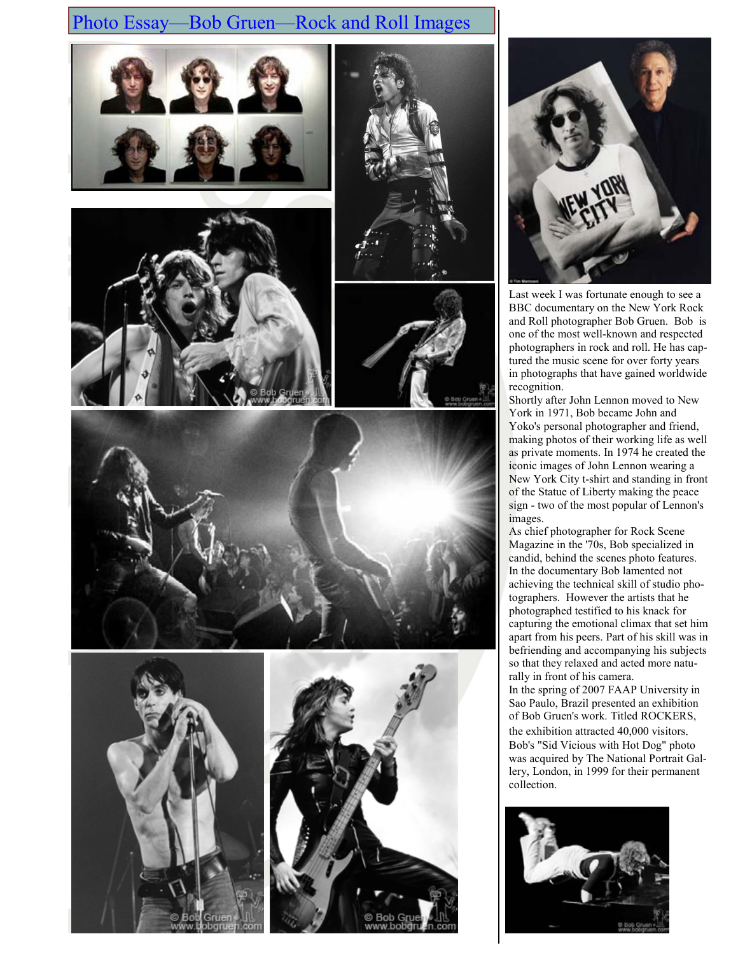# Photo Essay—Bob Gruen—Rock and Roll Images

















Last week I was fortunate enough to see a BBC documentary on the New York Rock and Roll photographer Bob Gruen. Bob is one of the most well-known and respected photographers in rock and roll. He has captured the music scene for over forty years in photographs that have gained worldwide recognition.

Shortly after John Lennon moved to New York in 1971, Bob became John and Yoko's personal photographer and friend, making photos of their working life as well as private moments. In 1974 he created the iconic images of John Lennon wearing a New York City t-shirt and standing in front of the Statue of Liberty making the peace sign - two of the most popular of Lennon's images.

As chief photographer for Rock Scene Magazine in the '70s, Bob specialized in candid, behind the scenes photo features. In the documentary Bob lamented not achieving the technical skill of studio photographers. However the artists that he photographed testified to his knack for capturing the emotional climax that set him apart from his peers. Part of his skill was in befriending and accompanying his subjects so that they relaxed and acted more naturally in front of his camera. In the spring of 2007 FAAP University in Sao Paulo, Brazil presented an exhibition of Bob Gruen's work. Titled ROCKERS, the exhibition attracted 40,000 visitors. Bob's "Sid Vicious with Hot Dog" photo

was acquired by The National Portrait Gallery, London, in 1999 for their permanent collection.